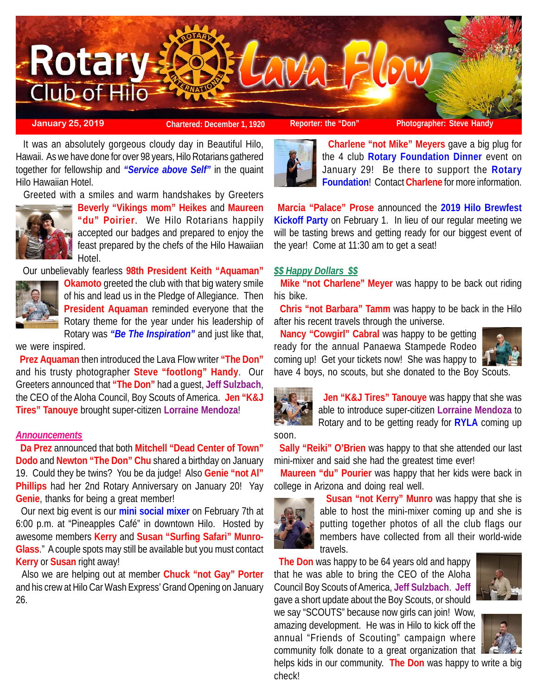

**January 25, 2019 Chartered: December 1, 1920 Reporter: the "Don" Photographer: Steve Handy**

 It was an absolutely gorgeous cloudy day in Beautiful Hilo, Hawaii. As we have done for over 98 years, Hilo Rotarians gathered together for fellowship and *"Service above Self"* in the quaint Hilo Hawaiian Hotel.

Greeted with a smiles and warm handshakes by Greeters



**Beverly "Vikings mom" Heikes** and **Maureen "du" Poirier**. We Hilo Rotarians happily accepted our badges and prepared to enjoy the feast prepared by the chefs of the Hilo Hawaiian Hotel.

Our unbelievably fearless **98th President Keith "Aquaman"**



**Okamoto** greeted the club with that big watery smile of his and lead us in the Pledge of Allegiance. Then **President Aquaman** reminded everyone that the Rotary theme for the year under his leadership of Rotary was *"Be The Inspiration"* and just like that,

we were inspired.

 **Prez Aquaman** then introduced the Lava Flow writer **"The Don"** and his trusty photographer **Steve "footlong" Handy**. Our Greeters announced that **"The Don"** had a guest, **Jeff Sulzbach**, the CEO of the Aloha Council, Boy Scouts of America. **Jen "K&J Tires" Tanouye** brought super-citizen **Lorraine Mendoza**!

## *Announcements*

 **Da Prez** announced that both **Mitchell "Dead Center of Town" Dodo** and **Newton "The Don" Chu** shared a birthday on January 19. Could they be twins? You be da judge! Also **Genie "not Al" Phillips** had her 2nd Rotary Anniversary on January 20! Yay **Genie**, thanks for being a great member!

 Our next big event is our **mini social mixer** on February 7th at 6:00 p.m. at "Pineapples Café" in downtown Hilo. Hosted by awesome members **Kerry** and **Susan "Surfing Safari" Munro-Glass**." A couple spots may still be available but you must contact **Kerry** or **Susan** right away!

 Also we are helping out at member **Chuck "not Gay" Porter** and his crew at Hilo Car Wash Express' Grand Opening on January 26.



 **Charlene "not Mike" Meyers** gave a big plug for the 4 club **Rotary Foundation Dinner** event on January 29! Be there to support the **Rotary Foundation**! Contact **Charlene** for more information.

**Marcia "Palace" Prose** announced the **2019 Hilo Brewfest Kickoff Party** on February 1. In lieu of our regular meeting we will be tasting brews and getting ready for our biggest event of the year! Come at 11:30 am to get a seat!

## *\$\$ Happy Dollars \$\$*

 **Mike "not Charlene" Meyer** was happy to be back out riding his bike.

 **Chris "not Barbara" Tamm** was happy to be back in the Hilo after his recent travels through the universe.

 **Nancy "Cowgirl" Cabral** was happy to be getting ready for the annual Panaewa Stampede Rodeo coming up! Get your tickets now! She was happy to have 4 boys, no scouts, but she donated to the Boy Scouts.





 **Jen "K&J Tires" Tanouye** was happy that she was able to introduce super-citizen **Lorraine Mendoza** to Rotary and to be getting ready for **RYLA** coming up



 **Sally "Reiki" O'Brien** was happy to that she attended our last mini-mixer and said she had the greatest time ever!

 **Maureen "du" Pourier** was happy that her kids were back in college in Arizona and doing real well.



 **Susan "not Kerry" Munro** was happy that she is able to host the mini-mixer coming up and she is putting together photos of all the club flags our members have collected from all their world-wide travels.

 **The Don** was happy to be 64 years old and happy that he was able to bring the CEO of the Aloha Council Boy Scouts of America, **Jeff Sulzbach**. **Jeff** gave a short update about the Boy Scouts, or should we say "SCOUTS" because now girls can join! Wow,

amazing development. He was in Hilo to kick off the annual "Friends of Scouting" campaign where



community folk donate to a great organization that helps kids in our community. **The Don** was happy to write a big check!